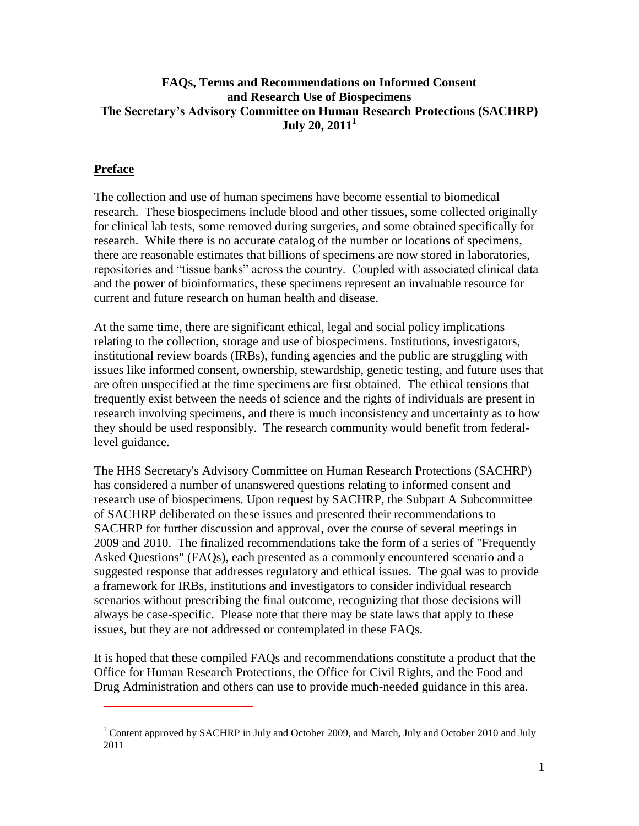#### **FAQs, Terms and Recommendations on Informed Consent and Research Use of Biospecimens The Secretary's Advisory Committee on Human Research Protections (SACHRP) July 20, 2011 1**

### **Preface**

 $\overline{a}$ 

The collection and use of human specimens have become essential to biomedical research. These biospecimens include blood and other tissues, some collected originally for clinical lab tests, some removed during surgeries, and some obtained specifically for research. While there is no accurate catalog of the number or locations of specimens, there are reasonable estimates that billions of specimens are now stored in laboratories, repositories and "tissue banks" across the country. Coupled with associated clinical data and the power of bioinformatics, these specimens represent an invaluable resource for current and future research on human health and disease.

At the same time, there are significant ethical, legal and social policy implications relating to the collection, storage and use of biospecimens. Institutions, investigators, institutional review boards (IRBs), funding agencies and the public are struggling with issues like informed consent, ownership, stewardship, genetic testing, and future uses that are often unspecified at the time specimens are first obtained. The ethical tensions that frequently exist between the needs of science and the rights of individuals are present in research involving specimens, and there is much inconsistency and uncertainty as to how they should be used responsibly. The research community would benefit from federallevel guidance.

The HHS Secretary's Advisory Committee on Human Research Protections (SACHRP) has considered a number of unanswered questions relating to informed consent and research use of biospecimens. Upon request by SACHRP, the Subpart A Subcommittee of SACHRP deliberated on these issues and presented their recommendations to SACHRP for further discussion and approval, over the course of several meetings in 2009 and 2010. The finalized recommendations take the form of a series of "Frequently Asked Questions" (FAQs), each presented as a commonly encountered scenario and a suggested response that addresses regulatory and ethical issues. The goal was to provide a framework for IRBs, institutions and investigators to consider individual research scenarios without prescribing the final outcome, recognizing that those decisions will always be case-specific. Please note that there may be state laws that apply to these issues, but they are not addressed or contemplated in these FAQs.

It is hoped that these compiled FAQs and recommendations constitute a product that the Office for Human Research Protections, the Office for Civil Rights, and the Food and Drug Administration and others can use to provide much-needed guidance in this area.

<sup>&</sup>lt;sup>1</sup> Content approved by SACHRP in July and October 2009, and March, July and October 2010 and July 2011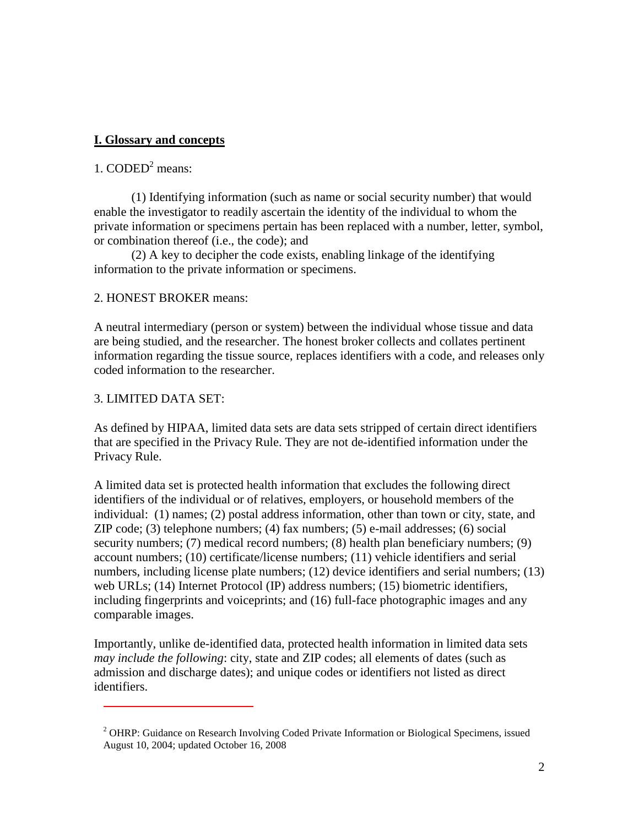### **I. Glossary and concepts**

## 1.  $\mathrm{CODED}^2$  means:

(1) Identifying information (such as name or social security number) that would enable the investigator to readily ascertain the identity of the individual to whom the private information or specimens pertain has been replaced with a number, letter, symbol, or combination thereof (i.e., the code); and

(2) A key to decipher the code exists, enabling linkage of the identifying information to the private information or specimens.

#### 2. HONEST BROKER means:

A neutral intermediary (person or system) between the individual whose tissue and data are being studied, and the researcher. The honest broker collects and collates pertinent information regarding the tissue source, replaces identifiers with a code, and releases only coded information to the researcher.

#### 3. LIMITED DATA SET:

 $\overline{a}$ 

As defined by HIPAA, limited data sets are data sets stripped of certain direct identifiers that are specified in the Privacy Rule. They are not de-identified information under the Privacy Rule.

A limited data set is protected health information that excludes the following direct identifiers of the individual or of relatives, employers, or household members of the individual: (1) names; (2) postal address information, other than town or city, state, and ZIP code; (3) telephone numbers; (4) fax numbers; (5) e-mail addresses; (6) social security numbers; (7) medical record numbers; (8) health plan beneficiary numbers; (9) account numbers; (10) certificate/license numbers; (11) vehicle identifiers and serial numbers, including license plate numbers; (12) device identifiers and serial numbers; (13) web URLs; (14) Internet Protocol (IP) address numbers; (15) biometric identifiers, including fingerprints and voiceprints; and (16) full-face photographic images and any comparable images.

Importantly, unlike de-identified data, protected health information in limited data sets *may include the following*: city, state and ZIP codes; all elements of dates (such as admission and discharge dates); and unique codes or identifiers not listed as direct identifiers.

<sup>&</sup>lt;sup>2</sup> OHRP: Guidance on Research Involving Coded Private Information or Biological Specimens, issued August 10, 2004; updated October 16, 2008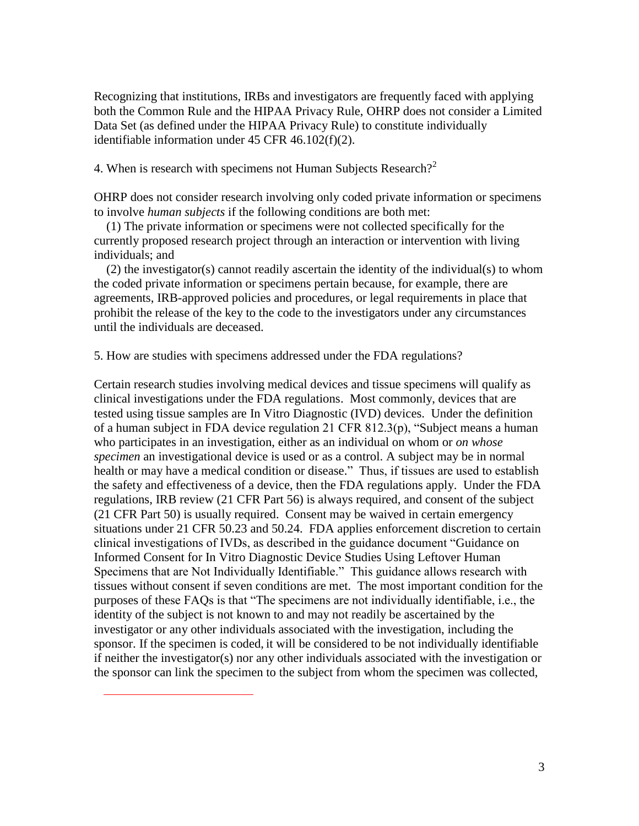Recognizing that institutions, IRBs and investigators are frequently faced with applying both the Common Rule and the HIPAA Privacy Rule, OHRP does not consider a Limited Data Set (as defined under the HIPAA Privacy Rule) to constitute individually identifiable information under 45 CFR 46.102(f)(2).

4. When is research with specimens not Human Subjects Research?<sup>2</sup>

OHRP does not consider research involving only coded private information or specimens to involve *human subjects* if the following conditions are both met:

 (1) The private information or specimens were not collected specifically for the currently proposed research project through an interaction or intervention with living individuals; and

 (2) the investigator(s) cannot readily ascertain the identity of the individual(s) to whom the coded private information or specimens pertain because, for example, there are agreements, IRB-approved policies and procedures, or legal requirements in place that prohibit the release of the key to the code to the investigators under any circumstances until the individuals are deceased.

5. How are studies with specimens addressed under the FDA regulations?

 $\overline{a}$ 

Certain research studies involving medical devices and tissue specimens will qualify as clinical investigations under the FDA regulations. Most commonly, devices that are tested using tissue samples are In Vitro Diagnostic (IVD) devices. Under the definition of a human subject in FDA device regulation 21 CFR 812.3(p), "Subject means a human who participates in an investigation, either as an individual on whom or *on whose specimen* an investigational device is used or as a control. A subject may be in normal health or may have a medical condition or disease." Thus, if tissues are used to establish the safety and effectiveness of a device, then the FDA regulations apply. Under the FDA regulations, IRB review (21 CFR Part 56) is always required, and consent of the subject (21 CFR Part 50) is usually required. Consent may be waived in certain emergency situations under 21 CFR 50.23 and 50.24. FDA applies enforcement discretion to certain clinical investigations of IVDs, as described in the guidance document "Guidance on Informed Consent for In Vitro Diagnostic Device Studies Using Leftover Human Specimens that are Not Individually Identifiable." This guidance allows research with tissues without consent if seven conditions are met. The most important condition for the purposes of these FAQs is that "The specimens are not individually identifiable, i.e., the identity of the subject is not known to and may not readily be ascertained by the investigator or any other individuals associated with the investigation, including the sponsor. If the specimen is coded, it will be considered to be not individually identifiable if neither the investigator(s) nor any other individuals associated with the investigation or the sponsor can link the specimen to the subject from whom the specimen was collected,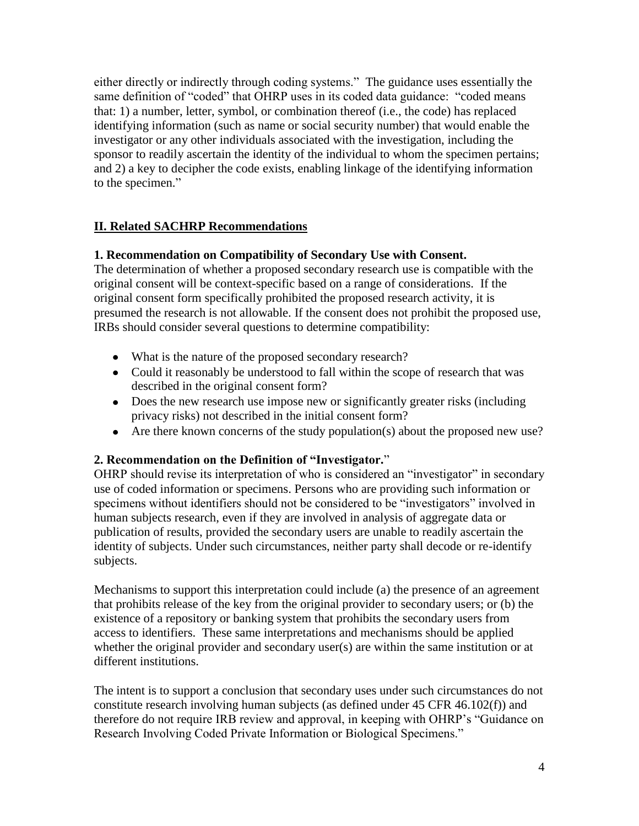either directly or indirectly through coding systems." The guidance uses essentially the same definition of "coded" that OHRP uses in its coded data guidance: "coded means that: 1) a number, letter, symbol, or combination thereof (i.e., the code) has replaced identifying information (such as name or social security number) that would enable the investigator or any other individuals associated with the investigation, including the sponsor to readily ascertain the identity of the individual to whom the specimen pertains; and 2) a key to decipher the code exists, enabling linkage of the identifying information to the specimen."

## **II. Related SACHRP Recommendations**

### **1. Recommendation on Compatibility of Secondary Use with Consent.**

The determination of whether a proposed secondary research use is compatible with the original consent will be context-specific based on a range of considerations. If the original consent form specifically prohibited the proposed research activity, it is presumed the research is not allowable. If the consent does not prohibit the proposed use, IRBs should consider several questions to determine compatibility:

- What is the nature of the proposed secondary research?
- Could it reasonably be understood to fall within the scope of research that was described in the original consent form?
- Does the new research use impose new or significantly greater risks (including privacy risks) not described in the initial consent form?
- Are there known concerns of the study population(s) about the proposed new use?

### **2. Recommendation on the Definition of "Investigator.**"

OHRP should revise its interpretation of who is considered an "investigator" in secondary use of coded information or specimens. Persons who are providing such information or specimens without identifiers should not be considered to be "investigators" involved in human subjects research, even if they are involved in analysis of aggregate data or publication of results, provided the secondary users are unable to readily ascertain the identity of subjects. Under such circumstances, neither party shall decode or re-identify subjects.

Mechanisms to support this interpretation could include (a) the presence of an agreement that prohibits release of the key from the original provider to secondary users; or (b) the existence of a repository or banking system that prohibits the secondary users from access to identifiers. These same interpretations and mechanisms should be applied whether the original provider and secondary user(s) are within the same institution or at different institutions.

The intent is to support a conclusion that secondary uses under such circumstances do not constitute research involving human subjects (as defined under 45 CFR 46.102(f)) and therefore do not require IRB review and approval, in keeping with OHRP's "Guidance on Research Involving Coded Private Information or Biological Specimens."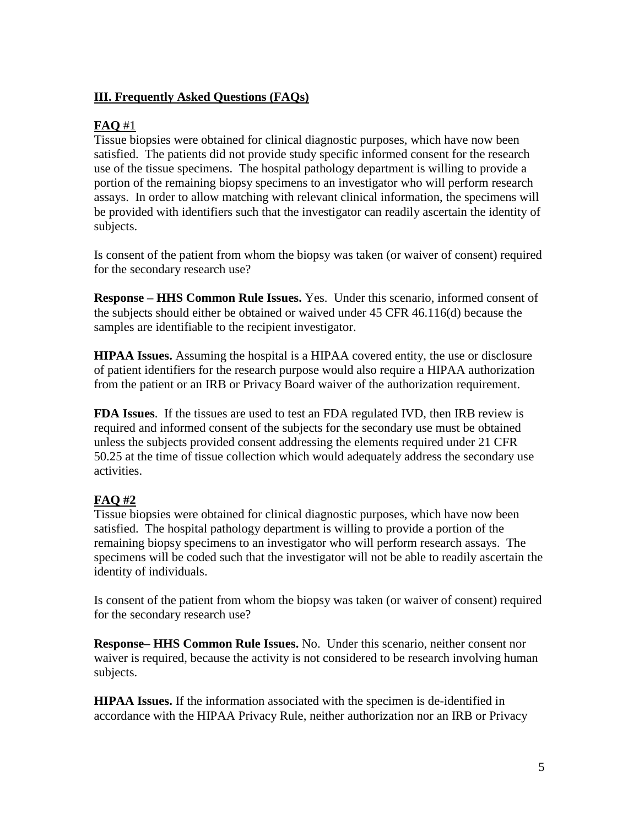### **III. Frequently Asked Questions (FAQs)**

#### **FAQ** #1

Tissue biopsies were obtained for clinical diagnostic purposes, which have now been satisfied. The patients did not provide study specific informed consent for the research use of the tissue specimens. The hospital pathology department is willing to provide a portion of the remaining biopsy specimens to an investigator who will perform research assays. In order to allow matching with relevant clinical information, the specimens will be provided with identifiers such that the investigator can readily ascertain the identity of subjects.

Is consent of the patient from whom the biopsy was taken (or waiver of consent) required for the secondary research use?

**Response – HHS Common Rule Issues.** Yes. Under this scenario, informed consent of the subjects should either be obtained or waived under 45 CFR 46.116(d) because the samples are identifiable to the recipient investigator.

**HIPAA Issues.** Assuming the hospital is a HIPAA covered entity, the use or disclosure of patient identifiers for the research purpose would also require a HIPAA authorization from the patient or an IRB or Privacy Board waiver of the authorization requirement.

**FDA Issues**. If the tissues are used to test an FDA regulated IVD, then IRB review is required and informed consent of the subjects for the secondary use must be obtained unless the subjects provided consent addressing the elements required under 21 CFR 50.25 at the time of tissue collection which would adequately address the secondary use activities.

### **FAQ #2**

Tissue biopsies were obtained for clinical diagnostic purposes, which have now been satisfied. The hospital pathology department is willing to provide a portion of the remaining biopsy specimens to an investigator who will perform research assays. The specimens will be coded such that the investigator will not be able to readily ascertain the identity of individuals.

Is consent of the patient from whom the biopsy was taken (or waiver of consent) required for the secondary research use?

**Response– HHS Common Rule Issues.** No. Under this scenario, neither consent nor waiver is required, because the activity is not considered to be research involving human subjects.

**HIPAA Issues.** If the information associated with the specimen is de-identified in accordance with the HIPAA Privacy Rule, neither authorization nor an IRB or Privacy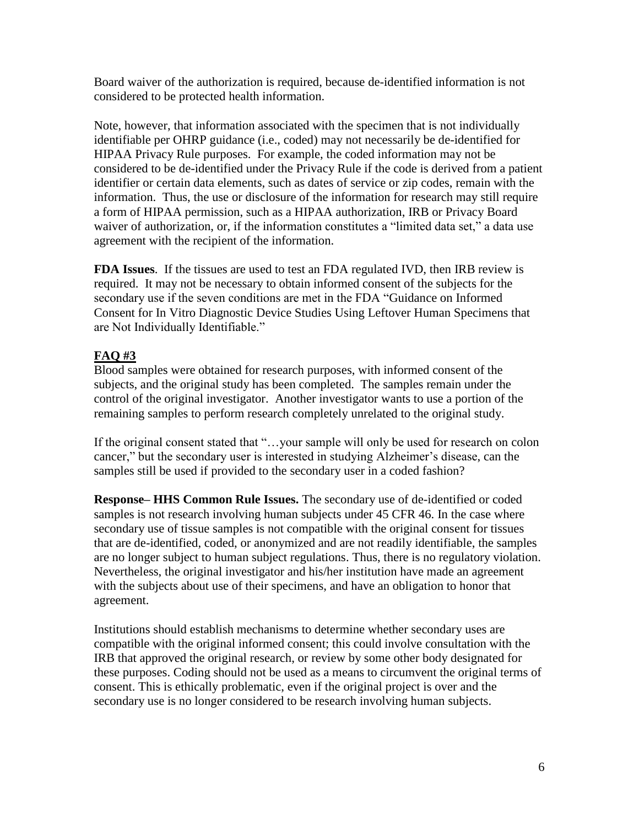Board waiver of the authorization is required, because de-identified information is not considered to be protected health information.

Note, however, that information associated with the specimen that is not individually identifiable per OHRP guidance (i.e., coded) may not necessarily be de-identified for HIPAA Privacy Rule purposes. For example, the coded information may not be considered to be de-identified under the Privacy Rule if the code is derived from a patient identifier or certain data elements, such as dates of service or zip codes, remain with the information. Thus, the use or disclosure of the information for research may still require a form of HIPAA permission, such as a HIPAA authorization, IRB or Privacy Board waiver of authorization, or, if the information constitutes a "limited data set," a data use agreement with the recipient of the information.

**FDA Issues**. If the tissues are used to test an FDA regulated IVD, then IRB review is required. It may not be necessary to obtain informed consent of the subjects for the secondary use if the seven conditions are met in the FDA "Guidance on Informed Consent for In Vitro Diagnostic Device Studies Using Leftover Human Specimens that are Not Individually Identifiable."

## **FAQ #3**

Blood samples were obtained for research purposes, with informed consent of the subjects, and the original study has been completed. The samples remain under the control of the original investigator. Another investigator wants to use a portion of the remaining samples to perform research completely unrelated to the original study.

If the original consent stated that "...your sample will only be used for research on colon cancer," but the secondary user is interested in studying Alzheimer's disease, can the samples still be used if provided to the secondary user in a coded fashion?

**Response– HHS Common Rule Issues.** The secondary use of de-identified or coded samples is not research involving human subjects under 45 CFR 46. In the case where secondary use of tissue samples is not compatible with the original consent for tissues that are de-identified, coded, or anonymized and are not readily identifiable, the samples are no longer subject to human subject regulations. Thus, there is no regulatory violation. Nevertheless, the original investigator and his/her institution have made an agreement with the subjects about use of their specimens, and have an obligation to honor that agreement.

Institutions should establish mechanisms to determine whether secondary uses are compatible with the original informed consent; this could involve consultation with the IRB that approved the original research, or review by some other body designated for these purposes. Coding should not be used as a means to circumvent the original terms of consent. This is ethically problematic, even if the original project is over and the secondary use is no longer considered to be research involving human subjects.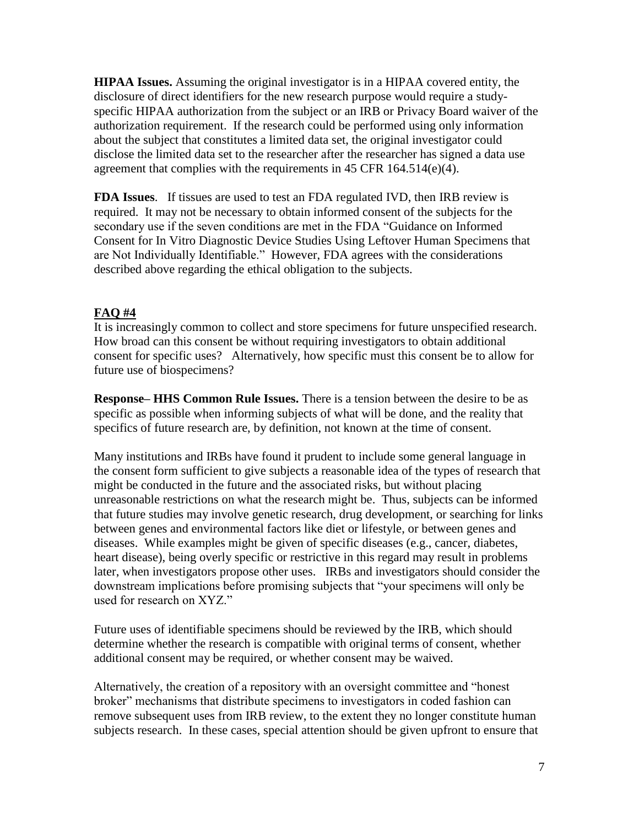**HIPAA Issues.** Assuming the original investigator is in a HIPAA covered entity, the disclosure of direct identifiers for the new research purpose would require a studyspecific HIPAA authorization from the subject or an IRB or Privacy Board waiver of the authorization requirement. If the research could be performed using only information about the subject that constitutes a limited data set, the original investigator could disclose the limited data set to the researcher after the researcher has signed a data use agreement that complies with the requirements in 45 CFR  $164.514(e)(4)$ .

**FDA Issues**. If tissues are used to test an FDA regulated IVD, then IRB review is required. It may not be necessary to obtain informed consent of the subjects for the secondary use if the seven conditions are met in the FDA "Guidance on Informed Consent for In Vitro Diagnostic Device Studies Using Leftover Human Specimens that are Not Individually Identifiable." However, FDA agrees with the considerations described above regarding the ethical obligation to the subjects.

### **FAQ #4**

It is increasingly common to collect and store specimens for future unspecified research. How broad can this consent be without requiring investigators to obtain additional consent for specific uses? Alternatively, how specific must this consent be to allow for future use of biospecimens?

**Response– HHS Common Rule Issues.** There is a tension between the desire to be as specific as possible when informing subjects of what will be done, and the reality that specifics of future research are, by definition, not known at the time of consent.

Many institutions and IRBs have found it prudent to include some general language in the consent form sufficient to give subjects a reasonable idea of the types of research that might be conducted in the future and the associated risks, but without placing unreasonable restrictions on what the research might be. Thus, subjects can be informed that future studies may involve genetic research, drug development, or searching for links between genes and environmental factors like diet or lifestyle, or between genes and diseases. While examples might be given of specific diseases (e.g., cancer, diabetes, heart disease), being overly specific or restrictive in this regard may result in problems later, when investigators propose other uses. IRBs and investigators should consider the downstream implications before promising subjects that "your specimens will only be used for research on XYZ."

Future uses of identifiable specimens should be reviewed by the IRB, which should determine whether the research is compatible with original terms of consent, whether additional consent may be required, or whether consent may be waived.

Alternatively, the creation of a repository with an oversight committee and "honest broker" mechanisms that distribute specimens to investigators in coded fashion can remove subsequent uses from IRB review, to the extent they no longer constitute human subjects research. In these cases, special attention should be given upfront to ensure that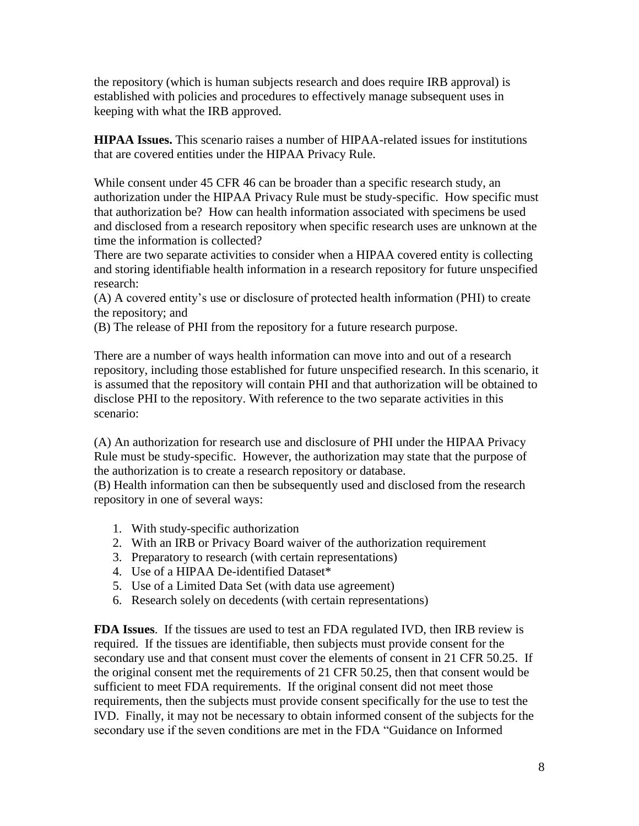the repository (which is human subjects research and does require IRB approval) is established with policies and procedures to effectively manage subsequent uses in keeping with what the IRB approved.

**HIPAA Issues.** This scenario raises a number of HIPAA-related issues for institutions that are covered entities under the HIPAA Privacy Rule.

While consent under 45 CFR 46 can be broader than a specific research study, an authorization under the HIPAA Privacy Rule must be study-specific. How specific must that authorization be? How can health information associated with specimens be used and disclosed from a research repository when specific research uses are unknown at the time the information is collected?

There are two separate activities to consider when a HIPAA covered entity is collecting and storing identifiable health information in a research repository for future unspecified research:

(A) A covered entity's use or disclosure of protected health information (PHI) to create the repository; and

(B) The release of PHI from the repository for a future research purpose.

There are a number of ways health information can move into and out of a research repository, including those established for future unspecified research. In this scenario, it is assumed that the repository will contain PHI and that authorization will be obtained to disclose PHI to the repository. With reference to the two separate activities in this scenario:

(A) An authorization for research use and disclosure of PHI under the HIPAA Privacy Rule must be study-specific. However, the authorization may state that the purpose of the authorization is to create a research repository or database.

(B) Health information can then be subsequently used and disclosed from the research repository in one of several ways:

- 1. With study-specific authorization
- 2. With an IRB or Privacy Board waiver of the authorization requirement
- 3. Preparatory to research (with certain representations)
- 4. Use of a HIPAA De-identified Dataset\*
- 5. Use of a Limited Data Set (with data use agreement)
- 6. Research solely on decedents (with certain representations)

**FDA Issues**. If the tissues are used to test an FDA regulated IVD, then IRB review is required. If the tissues are identifiable, then subjects must provide consent for the secondary use and that consent must cover the elements of consent in 21 CFR 50.25. If the original consent met the requirements of 21 CFR 50.25, then that consent would be sufficient to meet FDA requirements. If the original consent did not meet those requirements, then the subjects must provide consent specifically for the use to test the IVD. Finally, it may not be necessary to obtain informed consent of the subjects for the secondary use if the seven conditions are met in the FDA "Guidance on Informed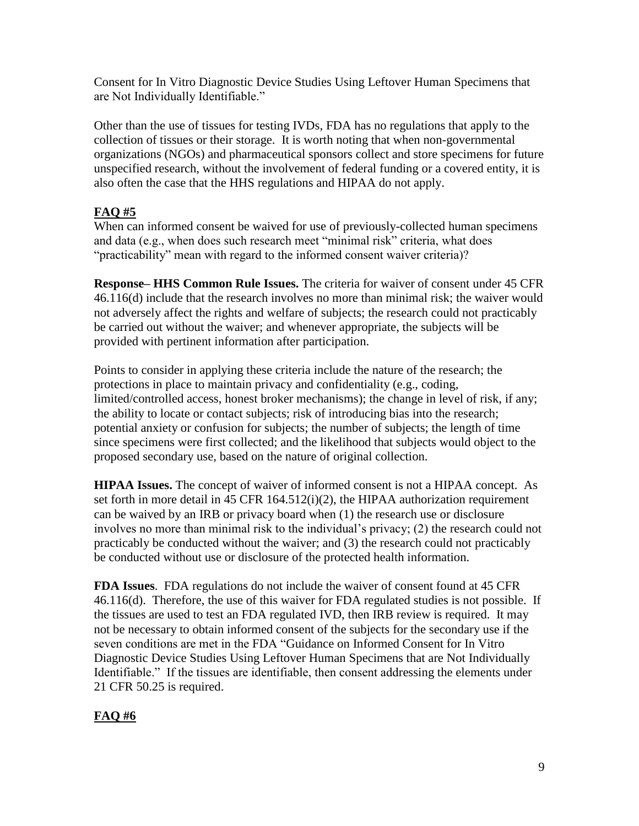Consent for In Vitro Diagnostic Device Studies Using Leftover Human Specimens that are Not Individually Identifiable."

Other than the use of tissues for testing IVDs, FDA has no regulations that apply to the collection of tissues or their storage. It is worth noting that when non-governmental organizations (NGOs) and pharmaceutical sponsors collect and store specimens for future unspecified research, without the involvement of federal funding or a covered entity, it is also often the case that the HHS regulations and HIPAA do not apply.

## **FAQ #5**

When can informed consent be waived for use of previously-collected human specimens and data (e.g., when does such research meet "minimal risk" criteria, what does "practicability" mean with regard to the informed consent waiver criteria)?

**Response– HHS Common Rule Issues.** The criteria for waiver of consent under 45 CFR 46.116(d) include that the research involves no more than minimal risk; the waiver would not adversely affect the rights and welfare of subjects; the research could not practicably be carried out without the waiver; and whenever appropriate, the subjects will be provided with pertinent information after participation.

Points to consider in applying these criteria include the nature of the research; the protections in place to maintain privacy and confidentiality (e.g., coding, limited/controlled access, honest broker mechanisms); the change in level of risk, if any; the ability to locate or contact subjects; risk of introducing bias into the research; potential anxiety or confusion for subjects; the number of subjects; the length of time since specimens were first collected; and the likelihood that subjects would object to the proposed secondary use, based on the nature of original collection.

**HIPAA Issues.** The concept of waiver of informed consent is not a HIPAA concept. As set forth in more detail in 45 CFR 164.512(i)(2), the HIPAA authorization requirement can be waived by an IRB or privacy board when (1) the research use or disclosure involves no more than minimal risk to the individual's privacy; (2) the research could not practicably be conducted without the waiver; and (3) the research could not practicably be conducted without use or disclosure of the protected health information.

**FDA Issues**. FDA regulations do not include the waiver of consent found at 45 CFR 46.116(d). Therefore, the use of this waiver for FDA regulated studies is not possible. If the tissues are used to test an FDA regulated IVD, then IRB review is required. It may not be necessary to obtain informed consent of the subjects for the secondary use if the seven conditions are met in the FDA "Guidance on Informed Consent for In Vitro Diagnostic Device Studies Using Leftover Human Specimens that are Not Individually Identifiable." If the tissues are identifiable, then consent addressing the elements under 21 CFR 50.25 is required.

## **FAQ #6**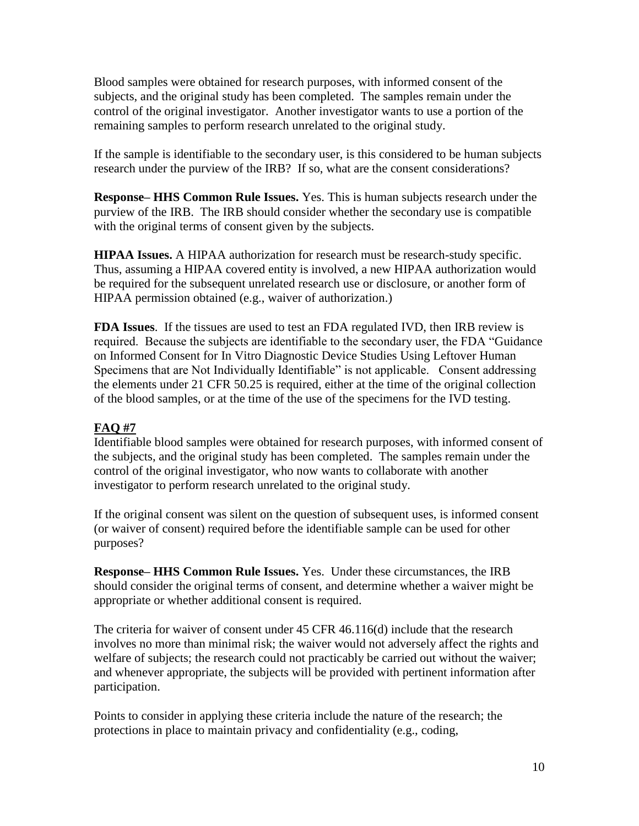Blood samples were obtained for research purposes, with informed consent of the subjects, and the original study has been completed. The samples remain under the control of the original investigator. Another investigator wants to use a portion of the remaining samples to perform research unrelated to the original study.

If the sample is identifiable to the secondary user, is this considered to be human subjects research under the purview of the IRB? If so, what are the consent considerations?

**Response– HHS Common Rule Issues.** Yes. This is human subjects research under the purview of the IRB. The IRB should consider whether the secondary use is compatible with the original terms of consent given by the subjects.

**HIPAA Issues.** A HIPAA authorization for research must be research-study specific. Thus, assuming a HIPAA covered entity is involved, a new HIPAA authorization would be required for the subsequent unrelated research use or disclosure, or another form of HIPAA permission obtained (e.g., waiver of authorization.)

**FDA Issues**. If the tissues are used to test an FDA regulated IVD, then IRB review is required. Because the subjects are identifiable to the secondary user, the FDA "Guidance on Informed Consent for In Vitro Diagnostic Device Studies Using Leftover Human Specimens that are Not Individually Identifiable" is not applicable. Consent addressing the elements under 21 CFR 50.25 is required, either at the time of the original collection of the blood samples, or at the time of the use of the specimens for the IVD testing.

## **FAQ #7**

Identifiable blood samples were obtained for research purposes, with informed consent of the subjects, and the original study has been completed. The samples remain under the control of the original investigator, who now wants to collaborate with another investigator to perform research unrelated to the original study.

If the original consent was silent on the question of subsequent uses, is informed consent (or waiver of consent) required before the identifiable sample can be used for other purposes?

**Response– HHS Common Rule Issues.** Yes. Under these circumstances, the IRB should consider the original terms of consent, and determine whether a waiver might be appropriate or whether additional consent is required.

The criteria for waiver of consent under 45 CFR 46.116(d) include that the research involves no more than minimal risk; the waiver would not adversely affect the rights and welfare of subjects; the research could not practicably be carried out without the waiver; and whenever appropriate, the subjects will be provided with pertinent information after participation.

Points to consider in applying these criteria include the nature of the research; the protections in place to maintain privacy and confidentiality (e.g., coding,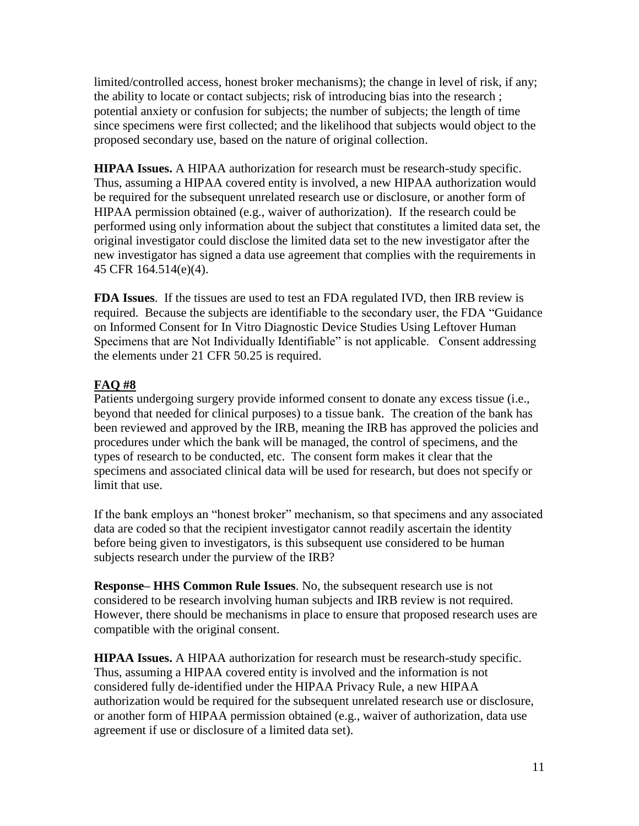limited/controlled access, honest broker mechanisms); the change in level of risk, if any; the ability to locate or contact subjects; risk of introducing bias into the research ; potential anxiety or confusion for subjects; the number of subjects; the length of time since specimens were first collected; and the likelihood that subjects would object to the proposed secondary use, based on the nature of original collection.

**HIPAA Issues.** A HIPAA authorization for research must be research-study specific. Thus, assuming a HIPAA covered entity is involved, a new HIPAA authorization would be required for the subsequent unrelated research use or disclosure, or another form of HIPAA permission obtained (e.g., waiver of authorization). If the research could be performed using only information about the subject that constitutes a limited data set, the original investigator could disclose the limited data set to the new investigator after the new investigator has signed a data use agreement that complies with the requirements in 45 CFR 164.514(e)(4).

**FDA Issues**. If the tissues are used to test an FDA regulated IVD, then IRB review is required. Because the subjects are identifiable to the secondary user, the FDA "Guidance on Informed Consent for In Vitro Diagnostic Device Studies Using Leftover Human Specimens that are Not Individually Identifiable" is not applicable. Consent addressing the elements under 21 CFR 50.25 is required.

### **FAQ #8**

Patients undergoing surgery provide informed consent to donate any excess tissue (i.e., beyond that needed for clinical purposes) to a tissue bank. The creation of the bank has been reviewed and approved by the IRB, meaning the IRB has approved the policies and procedures under which the bank will be managed, the control of specimens, and the types of research to be conducted, etc. The consent form makes it clear that the specimens and associated clinical data will be used for research, but does not specify or limit that use.

If the bank employs an "honest broker" mechanism, so that specimens and any associated data are coded so that the recipient investigator cannot readily ascertain the identity before being given to investigators, is this subsequent use considered to be human subjects research under the purview of the IRB?

**Response– HHS Common Rule Issues**. No, the subsequent research use is not considered to be research involving human subjects and IRB review is not required. However, there should be mechanisms in place to ensure that proposed research uses are compatible with the original consent.

**HIPAA Issues.** A HIPAA authorization for research must be research-study specific. Thus, assuming a HIPAA covered entity is involved and the information is not considered fully de-identified under the HIPAA Privacy Rule, a new HIPAA authorization would be required for the subsequent unrelated research use or disclosure, or another form of HIPAA permission obtained (e.g., waiver of authorization, data use agreement if use or disclosure of a limited data set).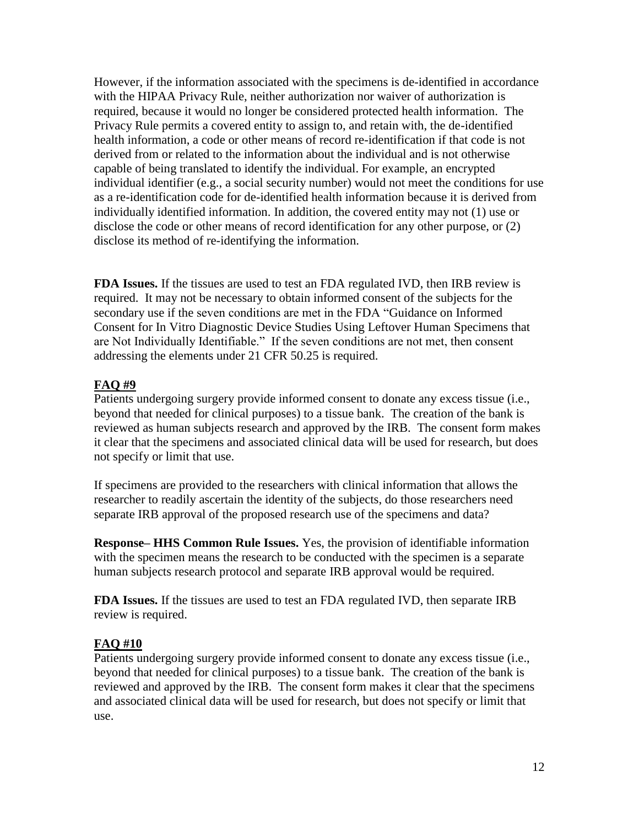However, if the information associated with the specimens is de-identified in accordance with the HIPAA Privacy Rule, neither authorization nor waiver of authorization is required, because it would no longer be considered protected health information. The Privacy Rule permits a covered entity to assign to, and retain with, the de-identified health information, a code or other means of record re-identification if that code is not derived from or related to the information about the individual and is not otherwise capable of being translated to identify the individual. For example, an encrypted individual identifier (e.g., a social security number) would not meet the conditions for use as a re-identification code for de-identified health information because it is derived from individually identified information. In addition, the covered entity may not (1) use or disclose the code or other means of record identification for any other purpose, or (2) disclose its method of re-identifying the information.

**FDA Issues.** If the tissues are used to test an FDA regulated IVD, then IRB review is required. It may not be necessary to obtain informed consent of the subjects for the secondary use if the seven conditions are met in the FDA "Guidance on Informed Consent for In Vitro Diagnostic Device Studies Using Leftover Human Specimens that are Not Individually Identifiable." If the seven conditions are not met, then consent addressing the elements under 21 CFR 50.25 is required.

### **FAQ #9**

Patients undergoing surgery provide informed consent to donate any excess tissue (i.e., beyond that needed for clinical purposes) to a tissue bank. The creation of the bank is reviewed as human subjects research and approved by the IRB. The consent form makes it clear that the specimens and associated clinical data will be used for research, but does not specify or limit that use.

If specimens are provided to the researchers with clinical information that allows the researcher to readily ascertain the identity of the subjects, do those researchers need separate IRB approval of the proposed research use of the specimens and data?

**Response– HHS Common Rule Issues.** Yes, the provision of identifiable information with the specimen means the research to be conducted with the specimen is a separate human subjects research protocol and separate IRB approval would be required.

**FDA Issues.** If the tissues are used to test an FDA regulated IVD, then separate IRB review is required.

### **FAQ #10**

Patients undergoing surgery provide informed consent to donate any excess tissue (i.e., beyond that needed for clinical purposes) to a tissue bank. The creation of the bank is reviewed and approved by the IRB. The consent form makes it clear that the specimens and associated clinical data will be used for research, but does not specify or limit that use.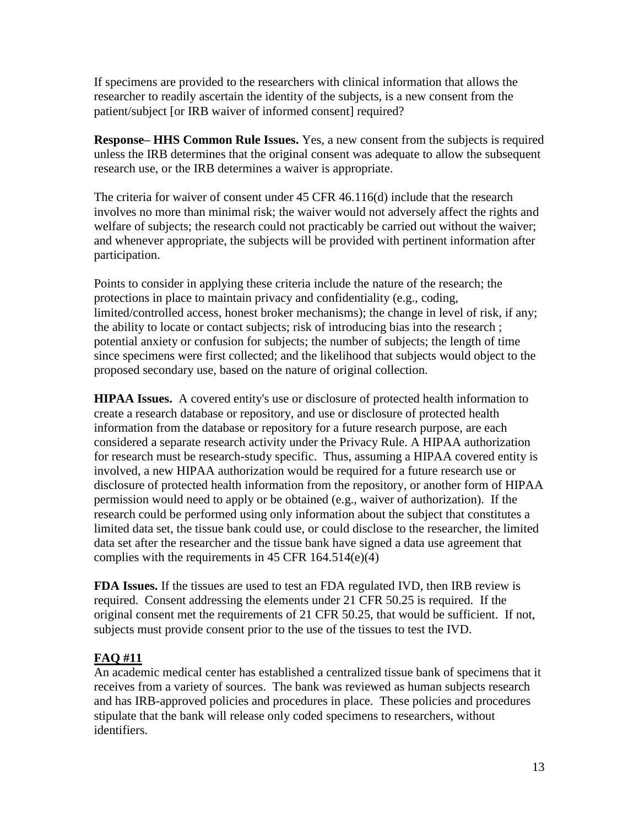If specimens are provided to the researchers with clinical information that allows the researcher to readily ascertain the identity of the subjects, is a new consent from the patient/subject [or IRB waiver of informed consent] required?

**Response– HHS Common Rule Issues.** Yes, a new consent from the subjects is required unless the IRB determines that the original consent was adequate to allow the subsequent research use, or the IRB determines a waiver is appropriate.

The criteria for waiver of consent under 45 CFR 46.116(d) include that the research involves no more than minimal risk; the waiver would not adversely affect the rights and welfare of subjects; the research could not practicably be carried out without the waiver; and whenever appropriate, the subjects will be provided with pertinent information after participation.

Points to consider in applying these criteria include the nature of the research; the protections in place to maintain privacy and confidentiality (e.g., coding, limited/controlled access, honest broker mechanisms); the change in level of risk, if any; the ability to locate or contact subjects; risk of introducing bias into the research ; potential anxiety or confusion for subjects; the number of subjects; the length of time since specimens were first collected; and the likelihood that subjects would object to the proposed secondary use, based on the nature of original collection.

**HIPAA Issues.** A covered entity's use or disclosure of protected health information to create a research database or repository, and use or disclosure of protected health information from the database or repository for a future research purpose, are each considered a separate research activity under the Privacy Rule. A HIPAA authorization for research must be research-study specific. Thus, assuming a HIPAA covered entity is involved, a new HIPAA authorization would be required for a future research use or disclosure of protected health information from the repository, or another form of HIPAA permission would need to apply or be obtained (e.g., waiver of authorization). If the research could be performed using only information about the subject that constitutes a limited data set, the tissue bank could use, or could disclose to the researcher, the limited data set after the researcher and the tissue bank have signed a data use agreement that complies with the requirements in  $45$  CFR  $164.514(e)(4)$ 

**FDA Issues.** If the tissues are used to test an FDA regulated IVD, then IRB review is required. Consent addressing the elements under 21 CFR 50.25 is required. If the original consent met the requirements of 21 CFR 50.25, that would be sufficient. If not, subjects must provide consent prior to the use of the tissues to test the IVD.

## **FAQ #11**

An academic medical center has established a centralized tissue bank of specimens that it receives from a variety of sources. The bank was reviewed as human subjects research and has IRB-approved policies and procedures in place. These policies and procedures stipulate that the bank will release only coded specimens to researchers, without identifiers.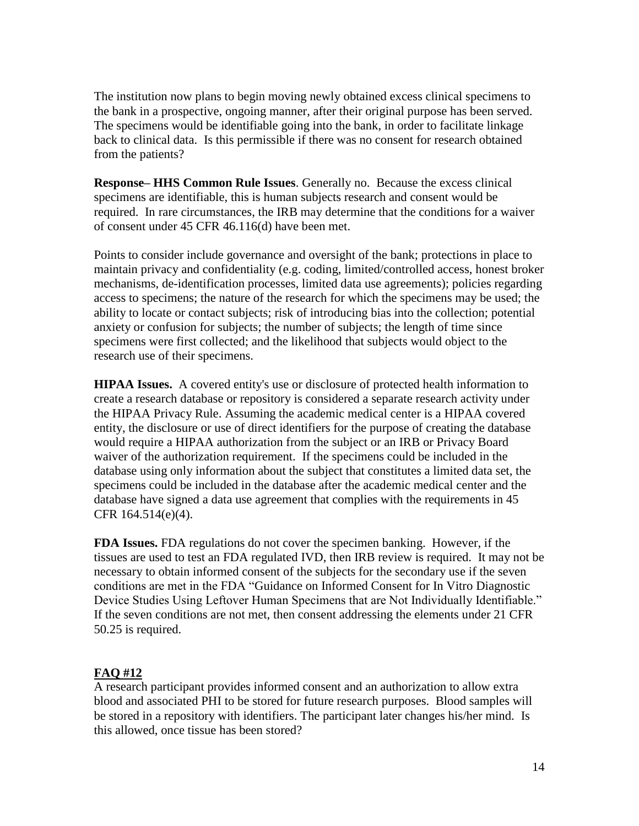The institution now plans to begin moving newly obtained excess clinical specimens to the bank in a prospective, ongoing manner, after their original purpose has been served. The specimens would be identifiable going into the bank, in order to facilitate linkage back to clinical data. Is this permissible if there was no consent for research obtained from the patients?

**Response– HHS Common Rule Issues**. Generally no. Because the excess clinical specimens are identifiable, this is human subjects research and consent would be required. In rare circumstances, the IRB may determine that the conditions for a waiver of consent under 45 CFR 46.116(d) have been met.

Points to consider include governance and oversight of the bank; protections in place to maintain privacy and confidentiality (e.g. coding, limited/controlled access, honest broker mechanisms, de-identification processes, limited data use agreements); policies regarding access to specimens; the nature of the research for which the specimens may be used; the ability to locate or contact subjects; risk of introducing bias into the collection; potential anxiety or confusion for subjects; the number of subjects; the length of time since specimens were first collected; and the likelihood that subjects would object to the research use of their specimens.

**HIPAA Issues.** A covered entity's use or disclosure of protected health information to create a research database or repository is considered a separate research activity under the HIPAA Privacy Rule. Assuming the academic medical center is a HIPAA covered entity, the disclosure or use of direct identifiers for the purpose of creating the database would require a HIPAA authorization from the subject or an IRB or Privacy Board waiver of the authorization requirement. If the specimens could be included in the database using only information about the subject that constitutes a limited data set, the specimens could be included in the database after the academic medical center and the database have signed a data use agreement that complies with the requirements in 45 CFR 164.514(e)(4).

**FDA Issues.** FDA regulations do not cover the specimen banking. However, if the tissues are used to test an FDA regulated IVD, then IRB review is required. It may not be necessary to obtain informed consent of the subjects for the secondary use if the seven conditions are met in the FDA "Guidance on Informed Consent for In Vitro Diagnostic Device Studies Using Leftover Human Specimens that are Not Individually Identifiable." If the seven conditions are not met, then consent addressing the elements under 21 CFR 50.25 is required.

### **FAQ #12**

A research participant provides informed consent and an authorization to allow extra blood and associated PHI to be stored for future research purposes. Blood samples will be stored in a repository with identifiers. The participant later changes his/her mind. Is this allowed, once tissue has been stored?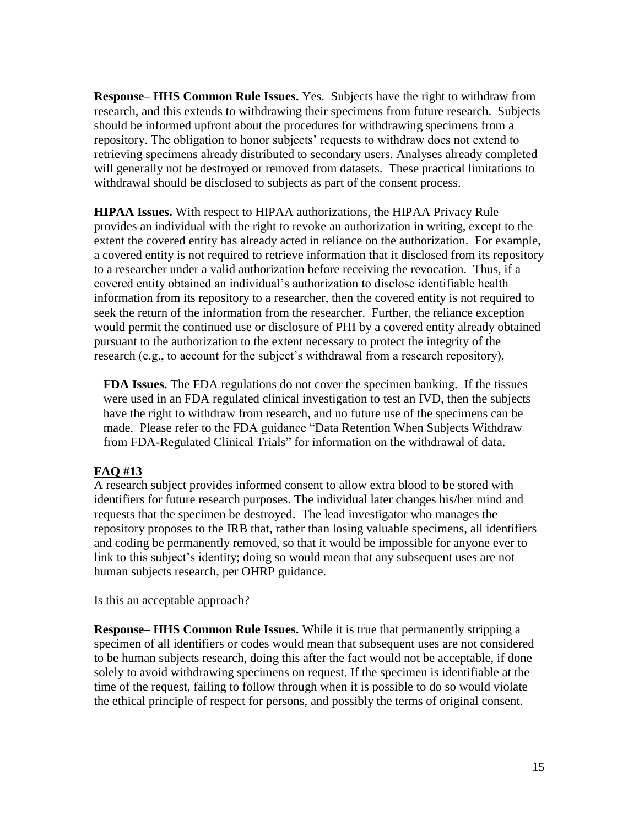**Response– HHS Common Rule Issues.** Yes. Subjects have the right to withdraw from research, and this extends to withdrawing their specimens from future research. Subjects should be informed upfront about the procedures for withdrawing specimens from a repository. The obligation to honor subjects' requests to withdraw does not extend to retrieving specimens already distributed to secondary users. Analyses already completed will generally not be destroyed or removed from datasets. These practical limitations to withdrawal should be disclosed to subjects as part of the consent process.

**HIPAA Issues.** With respect to HIPAA authorizations, the HIPAA Privacy Rule provides an individual with the right to revoke an authorization in writing, except to the extent the covered entity has already acted in reliance on the authorization. For example, a covered entity is not required to retrieve information that it disclosed from its repository to a researcher under a valid authorization before receiving the revocation. Thus, if a covered entity obtained an individual's authorization to disclose identifiable health information from its repository to a researcher, then the covered entity is not required to seek the return of the information from the researcher. Further, the reliance exception would permit the continued use or disclosure of PHI by a covered entity already obtained pursuant to the authorization to the extent necessary to protect the integrity of the research (e.g., to account for the subject's withdrawal from a research repository).

**FDA Issues.** The FDA regulations do not cover the specimen banking. If the tissues were used in an FDA regulated clinical investigation to test an IVD, then the subjects have the right to withdraw from research, and no future use of the specimens can be made. Please refer to the FDA guidance "Data Retention When Subjects Withdraw from FDA-Regulated Clinical Trials" for information on the withdrawal of data.

#### **FAQ #13**

A research subject provides informed consent to allow extra blood to be stored with identifiers for future research purposes. The individual later changes his/her mind and requests that the specimen be destroyed. The lead investigator who manages the repository proposes to the IRB that, rather than losing valuable specimens, all identifiers and coding be permanently removed, so that it would be impossible for anyone ever to link to this subject's identity; doing so would mean that any subsequent uses are not human subjects research, per OHRP guidance.

Is this an acceptable approach?

**Response– HHS Common Rule Issues.** While it is true that permanently stripping a specimen of all identifiers or codes would mean that subsequent uses are not considered to be human subjects research, doing this after the fact would not be acceptable, if done solely to avoid withdrawing specimens on request. If the specimen is identifiable at the time of the request, failing to follow through when it is possible to do so would violate the ethical principle of respect for persons, and possibly the terms of original consent.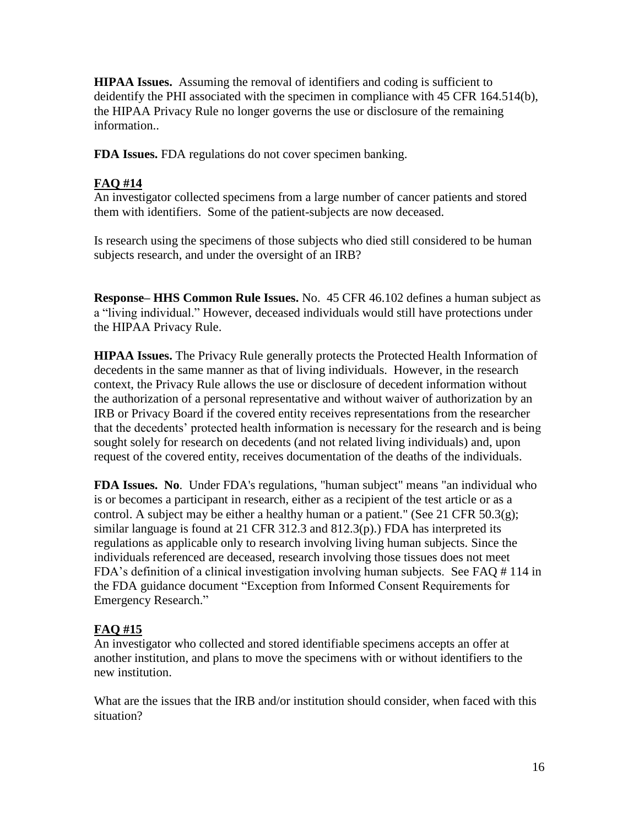**HIPAA Issues.** Assuming the removal of identifiers and coding is sufficient to deidentify the PHI associated with the specimen in compliance with 45 CFR 164.514(b), the HIPAA Privacy Rule no longer governs the use or disclosure of the remaining information..

**FDA Issues.** FDA regulations do not cover specimen banking.

### **FAQ #14**

An investigator collected specimens from a large number of cancer patients and stored them with identifiers. Some of the patient-subjects are now deceased.

Is research using the specimens of those subjects who died still considered to be human subjects research, and under the oversight of an IRB?

**Response– HHS Common Rule Issues.** No. 45 CFR 46.102 defines a human subject as a "living individual." However, deceased individuals would still have protections under the HIPAA Privacy Rule.

**HIPAA Issues.** The Privacy Rule generally protects the Protected Health Information of decedents in the same manner as that of living individuals. However, in the research context, the Privacy Rule allows the use or disclosure of decedent information without the authorization of a personal representative and without waiver of authorization by an IRB or Privacy Board if the covered entity receives representations from the researcher that the decedents' protected health information is necessary for the research and is being sought solely for research on decedents (and not related living individuals) and, upon request of the covered entity, receives documentation of the deaths of the individuals.

**FDA Issues. No**. Under FDA's regulations, "human subject" means "an individual who is or becomes a participant in research, either as a recipient of the test article or as a control. A subject may be either a healthy human or a patient." (See 21 CFR  $50.3(g)$ ; similar language is found at 21 CFR 312.3 and  $812.3(p)$ .) FDA has interpreted its regulations as applicable only to research involving living human subjects. Since the individuals referenced are deceased, research involving those tissues does not meet FDA's definition of a clinical investigation involving human subjects. See FAQ # 114 in the FDA guidance document "Exception from Informed Consent Requirements for Emergency Research."

## **FAQ #15**

An investigator who collected and stored identifiable specimens accepts an offer at another institution, and plans to move the specimens with or without identifiers to the new institution.

What are the issues that the IRB and/or institution should consider, when faced with this situation?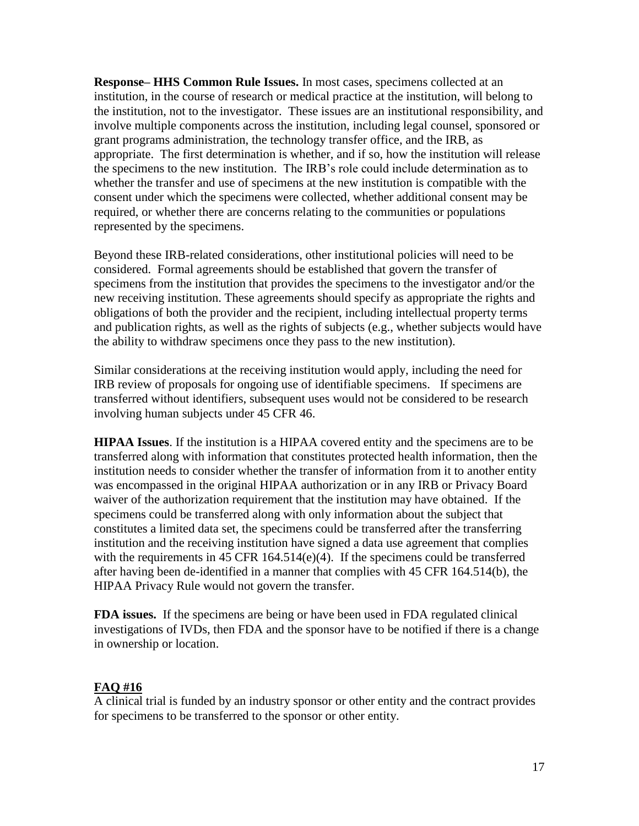**Response– HHS Common Rule Issues.** In most cases, specimens collected at an institution, in the course of research or medical practice at the institution, will belong to the institution, not to the investigator. These issues are an institutional responsibility, and involve multiple components across the institution, including legal counsel, sponsored or grant programs administration, the technology transfer office, and the IRB, as appropriate. The first determination is whether, and if so, how the institution will release the specimens to the new institution. The IRB's role could include determination as to whether the transfer and use of specimens at the new institution is compatible with the consent under which the specimens were collected, whether additional consent may be required, or whether there are concerns relating to the communities or populations represented by the specimens.

Beyond these IRB-related considerations, other institutional policies will need to be considered. Formal agreements should be established that govern the transfer of specimens from the institution that provides the specimens to the investigator and/or the new receiving institution. These agreements should specify as appropriate the rights and obligations of both the provider and the recipient, including intellectual property terms and publication rights, as well as the rights of subjects (e.g., whether subjects would have the ability to withdraw specimens once they pass to the new institution).

Similar considerations at the receiving institution would apply, including the need for IRB review of proposals for ongoing use of identifiable specimens. If specimens are transferred without identifiers, subsequent uses would not be considered to be research involving human subjects under 45 CFR 46.

**HIPAA Issues**. If the institution is a HIPAA covered entity and the specimens are to be transferred along with information that constitutes protected health information, then the institution needs to consider whether the transfer of information from it to another entity was encompassed in the original HIPAA authorization or in any IRB or Privacy Board waiver of the authorization requirement that the institution may have obtained. If the specimens could be transferred along with only information about the subject that constitutes a limited data set, the specimens could be transferred after the transferring institution and the receiving institution have signed a data use agreement that complies with the requirements in 45 CFR 164.514(e)(4). If the specimens could be transferred after having been de-identified in a manner that complies with 45 CFR 164.514(b), the HIPAA Privacy Rule would not govern the transfer.

**FDA issues.** If the specimens are being or have been used in FDA regulated clinical investigations of IVDs, then FDA and the sponsor have to be notified if there is a change in ownership or location.

### **FAQ #16**

A clinical trial is funded by an industry sponsor or other entity and the contract provides for specimens to be transferred to the sponsor or other entity.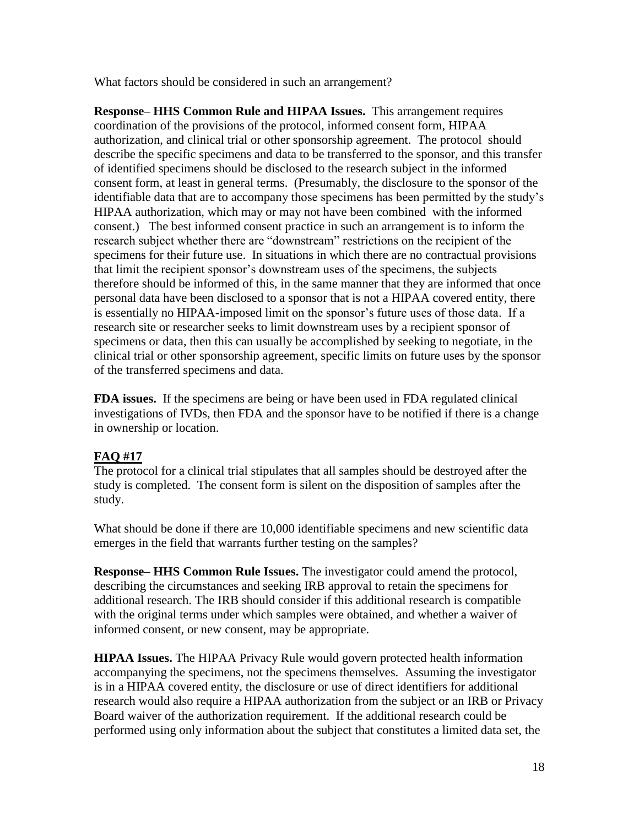What factors should be considered in such an arrangement?

**Response– HHS Common Rule and HIPAA Issues.** This arrangement requires coordination of the provisions of the protocol, informed consent form, HIPAA authorization, and clinical trial or other sponsorship agreement. The protocol should describe the specific specimens and data to be transferred to the sponsor, and this transfer of identified specimens should be disclosed to the research subject in the informed consent form, at least in general terms. (Presumably, the disclosure to the sponsor of the identifiable data that are to accompany those specimens has been permitted by the study's HIPAA authorization, which may or may not have been combined with the informed consent.) The best informed consent practice in such an arrangement is to inform the research subject whether there are "downstream" restrictions on the recipient of the specimens for their future use. In situations in which there are no contractual provisions that limit the recipient sponsor's downstream uses of the specimens, the subjects therefore should be informed of this, in the same manner that they are informed that once personal data have been disclosed to a sponsor that is not a HIPAA covered entity, there is essentially no HIPAA-imposed limit on the sponsor's future uses of those data. If a research site or researcher seeks to limit downstream uses by a recipient sponsor of specimens or data, then this can usually be accomplished by seeking to negotiate, in the clinical trial or other sponsorship agreement, specific limits on future uses by the sponsor of the transferred specimens and data.

**FDA issues.** If the specimens are being or have been used in FDA regulated clinical investigations of IVDs, then FDA and the sponsor have to be notified if there is a change in ownership or location.

## **FAQ #17**

The protocol for a clinical trial stipulates that all samples should be destroyed after the study is completed. The consent form is silent on the disposition of samples after the study.

What should be done if there are 10,000 identifiable specimens and new scientific data emerges in the field that warrants further testing on the samples?

**Response– HHS Common Rule Issues.** The investigator could amend the protocol, describing the circumstances and seeking IRB approval to retain the specimens for additional research. The IRB should consider if this additional research is compatible with the original terms under which samples were obtained, and whether a waiver of informed consent, or new consent, may be appropriate.

**HIPAA Issues.** The HIPAA Privacy Rule would govern protected health information accompanying the specimens, not the specimens themselves. Assuming the investigator is in a HIPAA covered entity, the disclosure or use of direct identifiers for additional research would also require a HIPAA authorization from the subject or an IRB or Privacy Board waiver of the authorization requirement. If the additional research could be performed using only information about the subject that constitutes a limited data set, the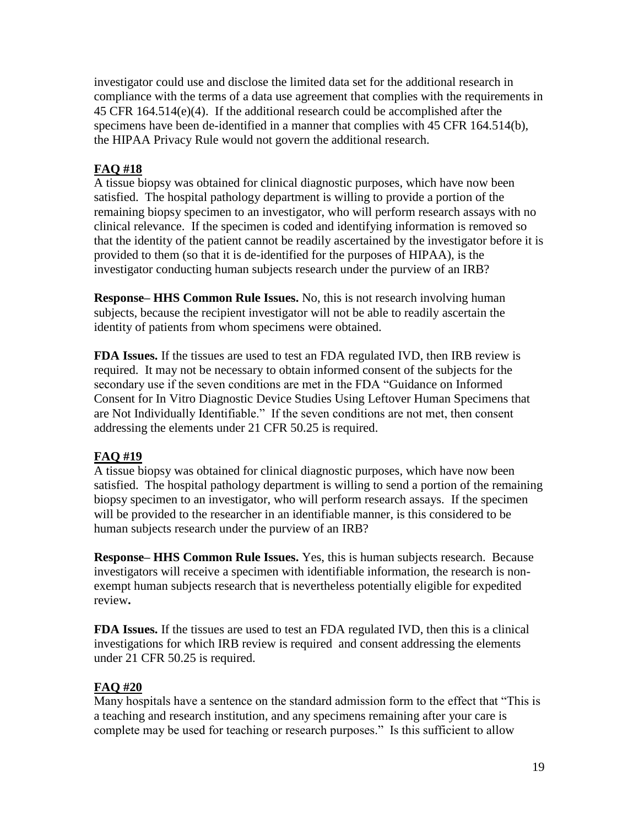investigator could use and disclose the limited data set for the additional research in compliance with the terms of a data use agreement that complies with the requirements in 45 CFR 164.514(e)(4). If the additional research could be accomplished after the specimens have been de-identified in a manner that complies with 45 CFR 164.514(b), the HIPAA Privacy Rule would not govern the additional research.

### **FAQ #18**

A tissue biopsy was obtained for clinical diagnostic purposes, which have now been satisfied. The hospital pathology department is willing to provide a portion of the remaining biopsy specimen to an investigator, who will perform research assays with no clinical relevance. If the specimen is coded and identifying information is removed so that the identity of the patient cannot be readily ascertained by the investigator before it is provided to them (so that it is de-identified for the purposes of HIPAA), is the investigator conducting human subjects research under the purview of an IRB?

**Response– HHS Common Rule Issues.** No, this is not research involving human subjects, because the recipient investigator will not be able to readily ascertain the identity of patients from whom specimens were obtained.

**FDA Issues.** If the tissues are used to test an FDA regulated IVD, then IRB review is required. It may not be necessary to obtain informed consent of the subjects for the secondary use if the seven conditions are met in the FDA "Guidance on Informed Consent for In Vitro Diagnostic Device Studies Using Leftover Human Specimens that are Not Individually Identifiable." If the seven conditions are not met, then consent addressing the elements under 21 CFR 50.25 is required.

## **FAQ #19**

A tissue biopsy was obtained for clinical diagnostic purposes, which have now been satisfied. The hospital pathology department is willing to send a portion of the remaining biopsy specimen to an investigator, who will perform research assays. If the specimen will be provided to the researcher in an identifiable manner, is this considered to be human subjects research under the purview of an IRB?

**Response– HHS Common Rule Issues.** Yes, this is human subjects research. Because investigators will receive a specimen with identifiable information, the research is nonexempt human subjects research that is nevertheless potentially eligible for expedited review**.** 

**FDA Issues.** If the tissues are used to test an FDA regulated IVD, then this is a clinical investigations for which IRB review is required and consent addressing the elements under 21 CFR 50.25 is required.

## **FAQ #20**

Many hospitals have a sentence on the standard admission form to the effect that "This is a teaching and research institution, and any specimens remaining after your care is complete may be used for teaching or research purposes." Is this sufficient to allow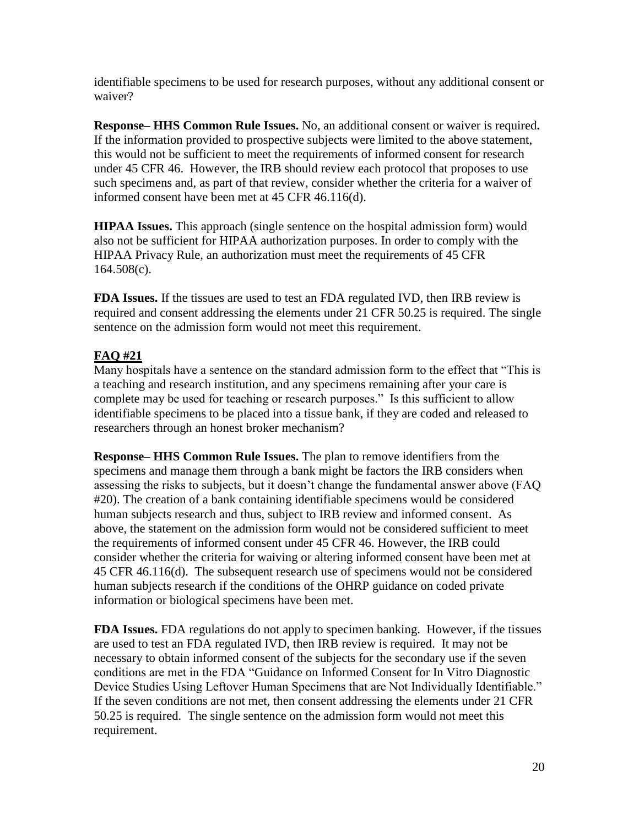identifiable specimens to be used for research purposes, without any additional consent or waiver?

**Response– HHS Common Rule Issues.** No, an additional consent or waiver is required**.** If the information provided to prospective subjects were limited to the above statement, this would not be sufficient to meet the requirements of informed consent for research under 45 CFR 46. However, the IRB should review each protocol that proposes to use such specimens and, as part of that review, consider whether the criteria for a waiver of informed consent have been met at 45 CFR 46.116(d).

**HIPAA Issues.** This approach (single sentence on the hospital admission form) would also not be sufficient for HIPAA authorization purposes. In order to comply with the HIPAA Privacy Rule, an authorization must meet the requirements of 45 CFR 164.508(c).

**FDA Issues.** If the tissues are used to test an FDA regulated IVD, then IRB review is required and consent addressing the elements under 21 CFR 50.25 is required. The single sentence on the admission form would not meet this requirement.

## **FAQ #21**

Many hospitals have a sentence on the standard admission form to the effect that "This is a teaching and research institution, and any specimens remaining after your care is complete may be used for teaching or research purposes." Is this sufficient to allow identifiable specimens to be placed into a tissue bank, if they are coded and released to researchers through an honest broker mechanism?

**Response– HHS Common Rule Issues.** The plan to remove identifiers from the specimens and manage them through a bank might be factors the IRB considers when assessing the risks to subjects, but it doesn't change the fundamental answer above (FAQ #20). The creation of a bank containing identifiable specimens would be considered human subjects research and thus, subject to IRB review and informed consent. As above, the statement on the admission form would not be considered sufficient to meet the requirements of informed consent under 45 CFR 46. However, the IRB could consider whether the criteria for waiving or altering informed consent have been met at 45 CFR 46.116(d). The subsequent research use of specimens would not be considered human subjects research if the conditions of the OHRP guidance on coded private information or biological specimens have been met.

**FDA Issues.** FDA regulations do not apply to specimen banking. However, if the tissues are used to test an FDA regulated IVD, then IRB review is required. It may not be necessary to obtain informed consent of the subjects for the secondary use if the seven conditions are met in the FDA "Guidance on Informed Consent for In Vitro Diagnostic Device Studies Using Leftover Human Specimens that are Not Individually Identifiable." If the seven conditions are not met, then consent addressing the elements under 21 CFR 50.25 is required. The single sentence on the admission form would not meet this requirement.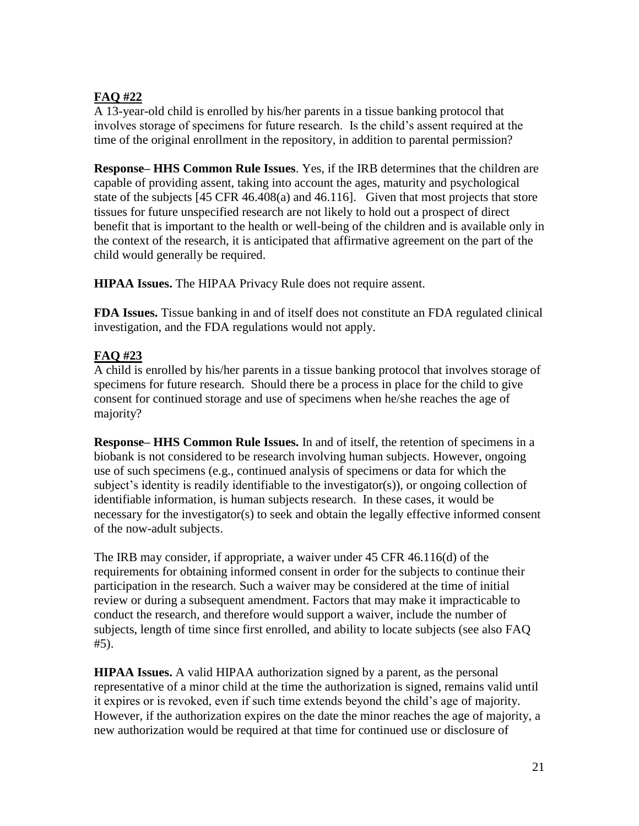# **FAQ #22**

A 13-year-old child is enrolled by his/her parents in a tissue banking protocol that involves storage of specimens for future research. Is the child's assent required at the time of the original enrollment in the repository, in addition to parental permission?

**Response– HHS Common Rule Issues**. Yes, if the IRB determines that the children are capable of providing assent, taking into account the ages, maturity and psychological state of the subjects [45 CFR 46.408(a) and 46.116]. Given that most projects that store tissues for future unspecified research are not likely to hold out a prospect of direct benefit that is important to the health or well-being of the children and is available only in the context of the research, it is anticipated that affirmative agreement on the part of the child would generally be required.

**HIPAA Issues.** The HIPAA Privacy Rule does not require assent.

**FDA Issues.** Tissue banking in and of itself does not constitute an FDA regulated clinical investigation, and the FDA regulations would not apply.

### **FAQ #23**

A child is enrolled by his/her parents in a tissue banking protocol that involves storage of specimens for future research. Should there be a process in place for the child to give consent for continued storage and use of specimens when he/she reaches the age of majority?

**Response– HHS Common Rule Issues.** In and of itself, the retention of specimens in a biobank is not considered to be research involving human subjects. However, ongoing use of such specimens (e.g., continued analysis of specimens or data for which the subject's identity is readily identifiable to the investigator(s)), or ongoing collection of identifiable information, is human subjects research. In these cases, it would be necessary for the investigator(s) to seek and obtain the legally effective informed consent of the now-adult subjects.

The IRB may consider, if appropriate, a waiver under 45 CFR 46.116(d) of the requirements for obtaining informed consent in order for the subjects to continue their participation in the research. Such a waiver may be considered at the time of initial review or during a subsequent amendment. Factors that may make it impracticable to conduct the research, and therefore would support a waiver, include the number of subjects, length of time since first enrolled, and ability to locate subjects (see also FAQ #5).

**HIPAA Issues.** A valid HIPAA authorization signed by a parent, as the personal representative of a minor child at the time the authorization is signed, remains valid until it expires or is revoked, even if such time extends beyond the child's age of majority. However, if the authorization expires on the date the minor reaches the age of majority, a new authorization would be required at that time for continued use or disclosure of